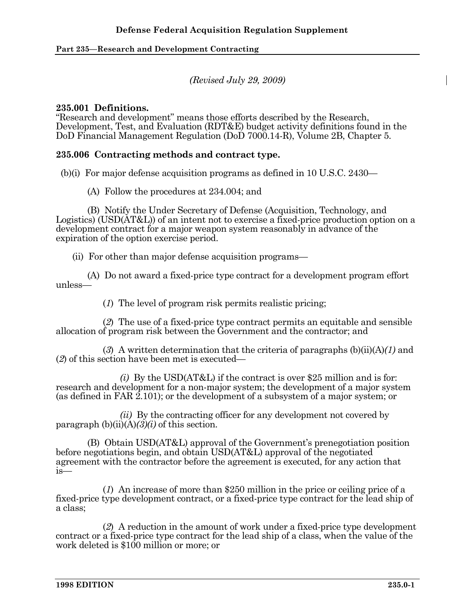*(Revised July 29, 2009)* 

#### **235.001 Definitions.**

"Research and development" means those efforts described by the Research, Development, Test, and Evaluation (RDT&E) budget activity definitions found in the DoD Financial Management Regulation (DoD 7000.14-R), Volume 2B, Chapter 5.

#### **235.006 Contracting methods and contract type.**

(b)(i) For major defense acquisition programs as defined in 10 U.S.C. 2430—

(A) Follow the procedures at 234.004; and

 (B) Notify the Under Secretary of Defense (Acquisition, Technology, and Logistics) (USD(AT&L)) of an intent not to exercise a fixed-price production option on a development contract for a major weapon system reasonably in advance of the expiration of the option exercise period.

(ii) For other than major defense acquisition programs—

 (A) Do not award a fixed-price type contract for a development program effort unless—

(*1*) The level of program risk permits realistic pricing;

 (*2*) The use of a fixed-price type contract permits an equitable and sensible allocation of program risk between the Government and the contractor; and

 (*3*) A written determination that the criteria of paragraphs (b)(ii)(A)*(1)* and (*2*) of this section have been met is executed—

 *(i)* By the USD(AT&L) if the contract is over \$25 million and is for: research and development for a non-major system; the development of a major system (as defined in FAR 2.101); or the development of a subsystem of a major system; or

 *(ii)* By the contracting officer for any development not covered by paragraph  $(b)(ii)(A)(3)(i)$  of this section.

 (B) Obtain USD(AT&L) approval of the Government's prenegotiation position before negotiations begin, and obtain USD(AT&L) approval of the negotiated agreement with the contractor before the agreement is executed, for any action that is—

 (*1*) An increase of more than \$250 million in the price or ceiling price of a fixed-price type development contract, or a fixed-price type contract for the lead ship of a class;

 (*2*) A reduction in the amount of work under a fixed-price type development contract or a fixed-price type contract for the lead ship of a class, when the value of the work deleted is \$100 million or more; or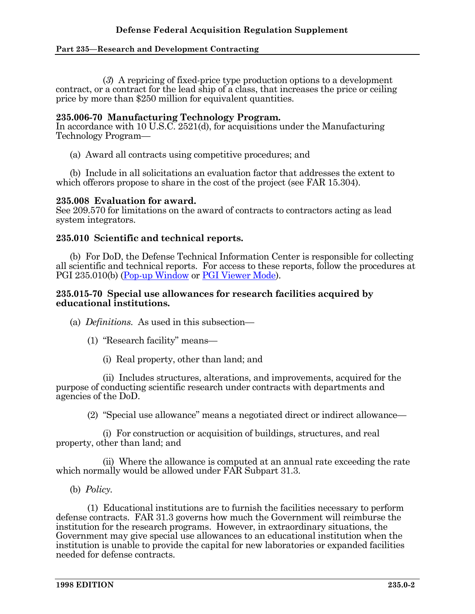(*3*) A repricing of fixed-price type production options to a development contract, or a contract for the lead ship of a class, that increases the price or ceiling price by more than \$250 million for equivalent quantities.

#### **235.006-70 Manufacturing Technology Program.**

In accordance with 10 U.S.C. 2521(d), for acquisitions under the Manufacturing Technology Program—

(a) Award all contracts using competitive procedures; and

 (b) Include in all solicitations an evaluation factor that addresses the extent to which offerors propose to share in the cost of the project (see FAR 15.304).

#### **235.008 Evaluation for award.**

See 209.570 for limitations on the award of contracts to contractors acting as lead system integrators.

## **235.010 Scientific and technical reports.**

 (b) For DoD, the Defense Technical Information Center is responsible for collecting all scientific and technical reports. For access to these reports, follow the procedures at PGI 235.010(b) (Pop-up Window or PGI Viewer Mode).

#### **235.015-70 Special use allowances for research facilities acquired by educational institutions.**

(a) *Definitions.* As used in this subsection—

- (1) "Research facility" means—
	- (i) Real property, other than land; and

 (ii) Includes structures, alterations, and improvements, acquired for the purpose of conducting scientific research under contracts with departments and agencies of the DoD.

(2) "Special use allowance" means a negotiated direct or indirect allowance—

 (i) For construction or acquisition of buildings, structures, and real property, other than land; and

 (ii) Where the allowance is computed at an annual rate exceeding the rate which normally would be allowed under FAR Subpart 31.3.

(b) *Policy.*

 (1) Educational institutions are to furnish the facilities necessary to perform defense contracts. FAR 31.3 governs how much the Government will reimburse the institution for the research programs. However, in extraordinary situations, the Government may give special use allowances to an educational institution when the institution is unable to provide the capital for new laboratories or expanded facilities needed for defense contracts.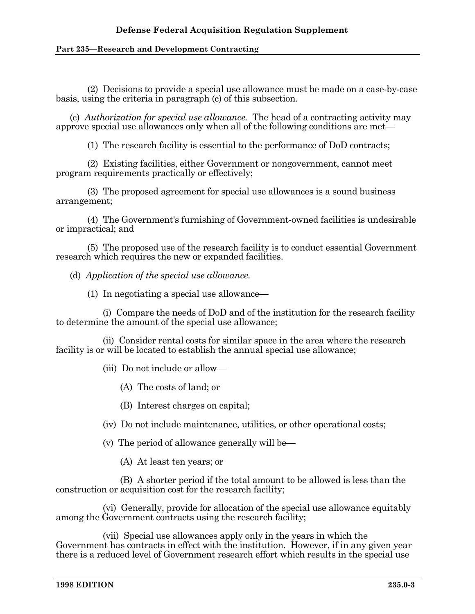(2) Decisions to provide a special use allowance must be made on a case-by-case basis, using the criteria in paragraph (c) of this subsection.

 (c) *Authorization for special use allowance.* The head of a contracting activity may approve special use allowances only when all of the following conditions are met—

(1) The research facility is essential to the performance of DoD contracts;

 (2) Existing facilities, either Government or nongovernment, cannot meet program requirements practically or effectively;

 (3) The proposed agreement for special use allowances is a sound business arrangement;

 (4) The Government's furnishing of Government-owned facilities is undesirable or impractical; and

 (5) The proposed use of the research facility is to conduct essential Government research which requires the new or expanded facilities.

(d) *Application of the special use allowance.*

(1) In negotiating a special use allowance—

 (i) Compare the needs of DoD and of the institution for the research facility to determine the amount of the special use allowance;

 (ii) Consider rental costs for similar space in the area where the research facility is or will be located to establish the annual special use allowance;

(iii) Do not include or allow—

- (A) The costs of land; or
- (B) Interest charges on capital;
- (iv) Do not include maintenance, utilities, or other operational costs;
- (v) The period of allowance generally will be—

(A) At least ten years; or

 (B) A shorter period if the total amount to be allowed is less than the construction or acquisition cost for the research facility;

 (vi) Generally, provide for allocation of the special use allowance equitably among the Government contracts using the research facility;

 (vii) Special use allowances apply only in the years in which the Government has contracts in effect with the institution. However, if in any given year there is a reduced level of Government research effort which results in the special use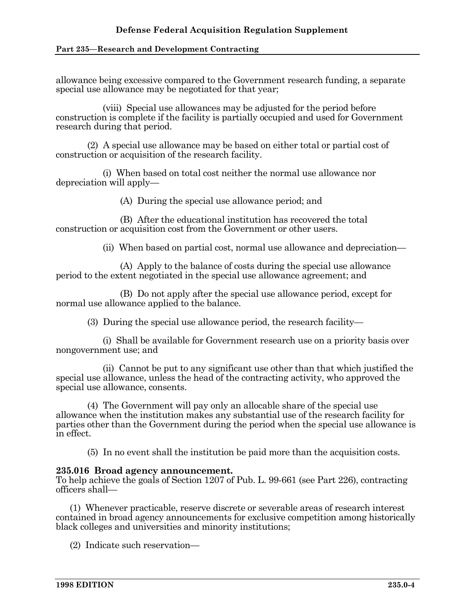allowance being excessive compared to the Government research funding, a separate special use allowance may be negotiated for that year;

 (viii) Special use allowances may be adjusted for the period before construction is complete if the facility is partially occupied and used for Government research during that period.

 (2) A special use allowance may be based on either total or partial cost of construction or acquisition of the research facility.

 (i) When based on total cost neither the normal use allowance nor depreciation will apply—

(A) During the special use allowance period; and

 (B) After the educational institution has recovered the total construction or acquisition cost from the Government or other users.

(ii) When based on partial cost, normal use allowance and depreciation—

 (A) Apply to the balance of costs during the special use allowance period to the extent negotiated in the special use allowance agreement; and

 (B) Do not apply after the special use allowance period, except for normal use allowance applied to the balance.

(3) During the special use allowance period, the research facility—

 (i) Shall be available for Government research use on a priority basis over nongovernment use; and

 (ii) Cannot be put to any significant use other than that which justified the special use allowance, unless the head of the contracting activity, who approved the special use allowance, consents.

 (4) The Government will pay only an allocable share of the special use allowance when the institution makes any substantial use of the research facility for parties other than the Government during the period when the special use allowance is in effect.

(5) In no event shall the institution be paid more than the acquisition costs.

#### **235.016 Broad agency announcement.**

To help achieve the goals of Section 1207 of Pub. L. 99-661 (see Part 226), contracting officers shall—

 (1) Whenever practicable, reserve discrete or severable areas of research interest contained in broad agency announcements for exclusive competition among historically black colleges and universities and minority institutions;

(2) Indicate such reservation—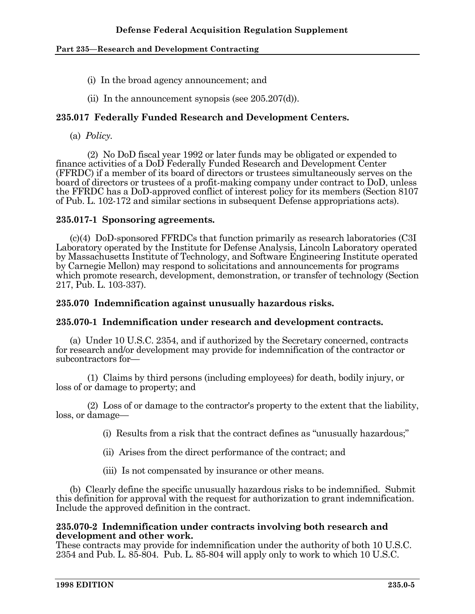- (i) In the broad agency announcement; and
- (ii) In the announcement synopsis (see 205.207(d)).

# **235.017 Federally Funded Research and Development Centers.**

(a) *Policy.*

 (2) No DoD fiscal year 1992 or later funds may be obligated or expended to finance activities of a DoD Federally Funded Research and Development Center (FFRDC) if a member of its board of directors or trustees simultaneously serves on the board of directors or trustees of a profit-making company under contract to DoD, unless the FFRDC has a DoD-approved conflict of interest policy for its members (Section 8107 of Pub. L. 102-172 and similar sections in subsequent Defense appropriations acts).

## **235.017-1 Sponsoring agreements.**

 (c)(4) DoD-sponsored FFRDCs that function primarily as research laboratories (C3I Laboratory operated by the Institute for Defense Analysis, Lincoln Laboratory operated by Massachusetts Institute of Technology, and Software Engineering Institute operated by Carnegie Mellon) may respond to solicitations and announcements for programs which promote research, development, demonstration, or transfer of technology (Section 217, Pub. L. 103-337).

# **235.070 Indemnification against unusually hazardous risks.**

## **235.070-1 Indemnification under research and development contracts.**

 (a) Under 10 U.S.C. 2354, and if authorized by the Secretary concerned, contracts for research and/or development may provide for indemnification of the contractor or subcontractors for—

 (1) Claims by third persons (including employees) for death, bodily injury, or loss of or damage to property; and

 (2) Loss of or damage to the contractor's property to the extent that the liability, loss, or damage—

(i) Results from a risk that the contract defines as "unusually hazardous;"

- (ii) Arises from the direct performance of the contract; and
- (iii) Is not compensated by insurance or other means.

 (b) Clearly define the specific unusually hazardous risks to be indemnified. Submit this definition for approval with the request for authorization to grant indemnification. Include the approved definition in the contract.

#### **235.070-2 Indemnification under contracts involving both research and development and other work.**

These contracts may provide for indemnification under the authority of both 10 U.S.C. 2354 and Pub. L. 85-804. Pub. L. 85-804 will apply only to work to which 10 U.S.C.